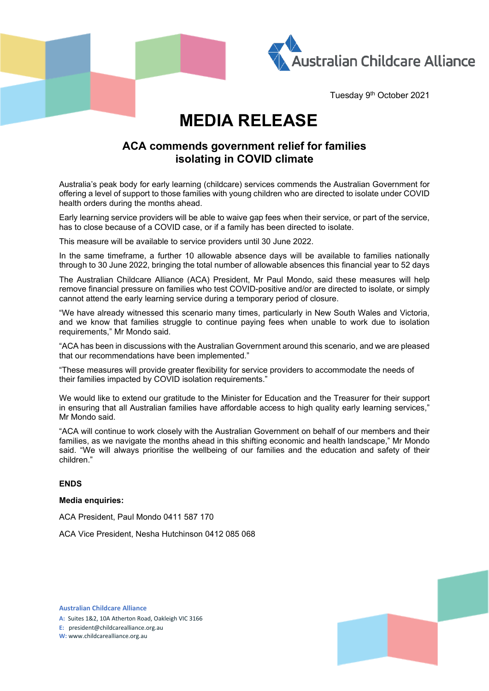



Tuesday 9th October 2021

# **MEDIA RELEASE**

## **ACA commends government relief for families isolating in COVID climate**

Australia's peak body for early learning (childcare) services commends the Australian Government for offering a level of support to those families with young children who are directed to isolate under COVID health orders during the months ahead.

Early learning service providers will be able to waive gap fees when their service, or part of the service, has to close because of a COVID case, or if a family has been directed to isolate.

This measure will be available to service providers until 30 June 2022.

In the same timeframe, a further 10 allowable absence days will be available to families nationally through to 30 June 2022, bringing the total number of allowable absences this financial year to 52 days

The Australian Childcare Alliance (ACA) President, Mr Paul Mondo, said these measures will help remove financial pressure on families who test COVID-positive and/or are directed to isolate, or simply cannot attend the early learning service during a temporary period of closure.

"We have already witnessed this scenario many times, particularly in New South Wales and Victoria, and we know that families struggle to continue paying fees when unable to work due to isolation requirements," Mr Mondo said.

"ACA has been in discussions with the Australian Government around this scenario, and we are pleased that our recommendations have been implemented."

"These measures will provide greater flexibility for service providers to accommodate the needs of their families impacted by COVID isolation requirements."

We would like to extend our gratitude to the Minister for Education and the Treasurer for their support in ensuring that all Australian families have affordable access to high quality early learning services," Mr Mondo said.

"ACA will continue to work closely with the Australian Government on behalf of our members and their families, as we navigate the months ahead in this shifting economic and health landscape," Mr Mondo said. "We will always prioritise the wellbeing of our families and the education and safety of their children."

#### **ENDS**

#### **Media enquiries:**

ACA President, Paul Mondo 0411 587 170

ACA Vice President, Nesha Hutchinson 0412 085 068



**Australian Childcare Alliance**

**A:** Suites 1&2, 10A Atherton Road, Oakleigh VIC 3166

**E:** president@childcarealliance.org.au

**W:** www.childcarealliance.org.au